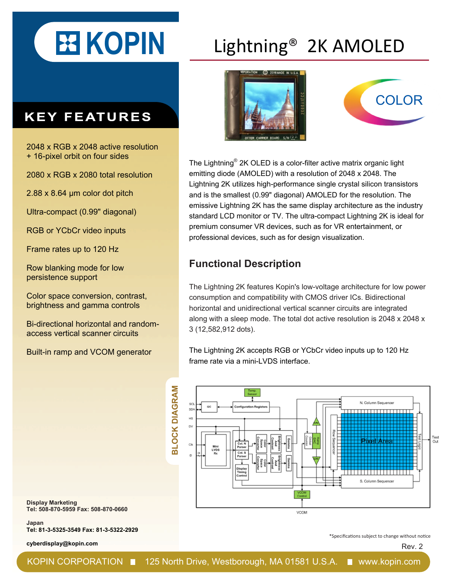# **KOPIN**

#### **KEY FEATURES**

2048 x RGB x 2048 active resolution + 16-pixel orbit on four sides

2080 x RGB x 2080 total resolution

2.88 x 8.64 μm color dot pitch

Ultra-compact (0.99" diagonal)

RGB or YCbCr video inputs

Frame rates up to 120 Hz

Row blanking mode for low persistence support

Color space conversion, contrast, brightness and gamma controls

Bi-directional horizontal and randomaccess vertical scanner circuits

Built-in ramp and VCOM generator

## Lightning® 2K AMOLED





The Lightning® 2K OLED is a color-filter active matrix organic light emitting diode (AMOLED) with a resolution of 2048 x 2048. The Lightning 2K utilizes high-performance single crystal silicon transistors and is the smallest (0.99" diagonal) AMOLED for the resolution. The emissive Lightning 2K has the same display architecture as the industry standard LCD monitor or TV. The ultra-compact Lightning 2K is ideal for premium consumer VR devices, such as for VR entertainment, or professional devices, such as for design visualization.

#### **Functional Description**

The Lightning 2K features Kopin's low-voltage architecture for low power consumption and compatibility with CMOS driver ICs. Bidirectional horizontal and unidirectional vertical scanner circuits are integrated along with a sleep mode. The total dot active resolution is 2048 x 2048 x 3 (12,582,912 dots).

The Lightning 2K accepts RGB or YCbCr video inputs up to 120 Hz frame rate via a mini-LVDS interface.



**Display Marketing Tel: 508-870-5959 Fax: 508-870-0660**

**Japan Tel: 81-3-5325-3549 Fax: 81-3-5322-2929** 

**cyberdisplay@kopin.com**

\*Specifications subject to change without notice